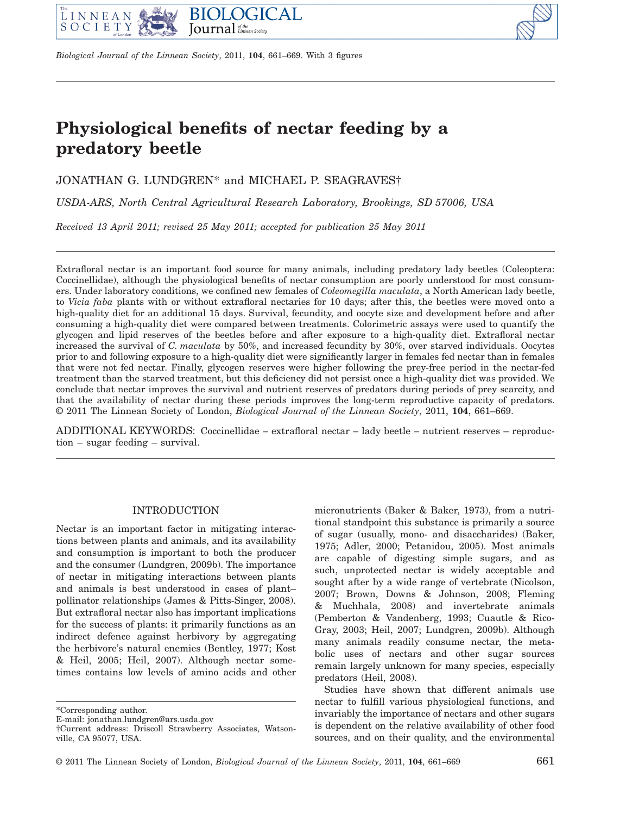



# **Physiological benefits of nectar feeding by a predatory beetle**

JONATHAN G. LUNDGREN\* and MICHAEL P. SEAGRAVES†

*USDA-ARS, North Central Agricultural Research Laboratory, Brookings, SD 57006, USA*

*Received 13 April 2011; revised 25 May 2011; accepted for publication 25 May 2011* 

Extrafloral nectar is an important food source for many animals, including predatory lady beetles (Coleoptera: Coccinellidae), although the physiological benefits of nectar consumption are poorly understood for most consumers. Under laboratory conditions, we confined new females of *Coleomegilla maculata*, a North American lady beetle, to *Vicia faba* plants with or without extrafloral nectaries for 10 days; after this, the beetles were moved onto a high-quality diet for an additional 15 days. Survival, fecundity, and oocyte size and development before and after consuming a high-quality diet were compared between treatments. Colorimetric assays were used to quantify the glycogen and lipid reserves of the beetles before and after exposure to a high-quality diet. Extrafloral nectar increased the survival of *C. maculata* by 50%, and increased fecundity by 30%, over starved individuals. Oocytes prior to and following exposure to a high-quality diet were significantly larger in females fed nectar than in females that were not fed nectar. Finally, glycogen reserves were higher following the prey-free period in the nectar-fed treatment than the starved treatment, but this deficiency did not persist once a high-quality diet was provided. We conclude that nectar improves the survival and nutrient reserves of predators during periods of prey scarcity, and that the availability of nectar during these periods improves the long-term reproductive capacity of predators. © 2011 The Linnean Society of London, *Biological Journal of the Linnean Society*, 2011, **104**, 661–669.

ADDITIONAL KEYWORDS: Coccinellidae – extrafloral nectar – lady beetle – nutrient reserves – reproduction – sugar feeding – survival.

## INTRODUCTION

Nectar is an important factor in mitigating interactions between plants and animals, and its availability and consumption is important to both the producer and the consumer (Lundgren, 2009b). The importance of nectar in mitigating interactions between plants and animals is best understood in cases of plant– pollinator relationships (James & Pitts-Singer, 2008). But extrafloral nectar also has important implications for the success of plants: it primarily functions as an indirect defence against herbivory by aggregating the herbivore's natural enemies (Bentley, 1977; Kost & Heil, 2005; Heil, 2007). Although nectar sometimes contains low levels of amino acids and other micronutrients (Baker & Baker, 1973), from a nutritional standpoint this substance is primarily a source of sugar (usually, mono- and disaccharides) (Baker, 1975; Adler, 2000; Petanidou, 2005). Most animals are capable of digesting simple sugars, and as such, unprotected nectar is widely acceptable and sought after by a wide range of vertebrate (Nicolson, 2007; Brown, Downs & Johnson, 2008; Fleming & Muchhala, 2008) and invertebrate animals (Pemberton & Vandenberg, 1993; Cuautle & Rico-Gray, 2003; Heil, 2007; Lundgren, 2009b). Although many animals readily consume nectar, the metabolic uses of nectars and other sugar sources remain largely unknown for many species, especially predators (Heil, 2008).

Studies have shown that different animals use nectar to fulfill various physiological functions, and invariably the importance of nectars and other sugars is dependent on the relative availability of other food sources, and on their quality, and the environmental

<sup>\*</sup>Corresponding author.

E-mail: jonathan.lundgren@ars.usda.gov

<sup>†</sup>Current address: Driscoll Strawberry Associates, Watsonville, CA 95077, USA.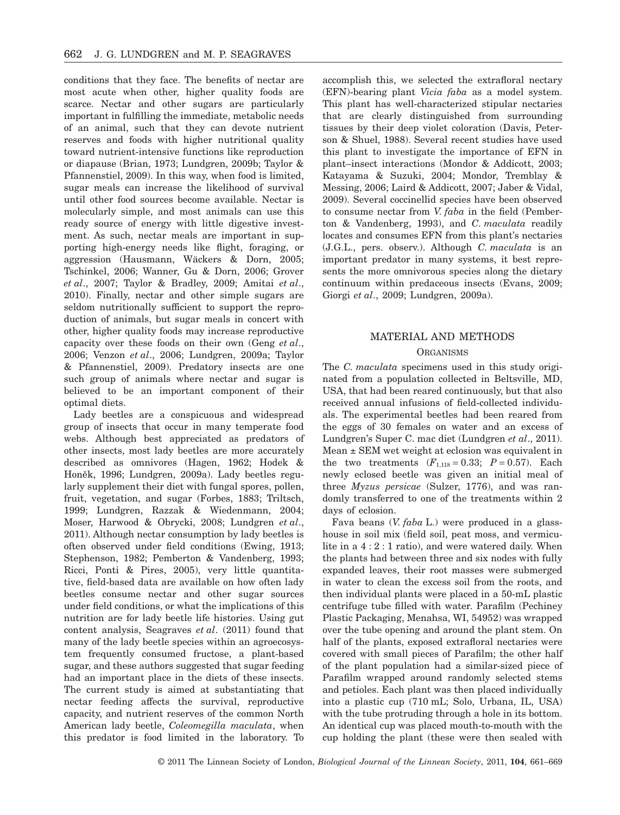conditions that they face. The benefits of nectar are most acute when other, higher quality foods are scarce. Nectar and other sugars are particularly important in fulfilling the immediate, metabolic needs of an animal, such that they can devote nutrient reserves and foods with higher nutritional quality toward nutrient-intensive functions like reproduction or diapause (Brian, 1973; Lundgren, 2009b; Taylor & Pfannenstiel, 2009). In this way, when food is limited, sugar meals can increase the likelihood of survival until other food sources become available. Nectar is molecularly simple, and most animals can use this ready source of energy with little digestive investment. As such, nectar meals are important in supporting high-energy needs like flight, foraging, or aggression (Hausmann, Wäckers & Dorn, 2005; Tschinkel, 2006; Wanner, Gu & Dorn, 2006; Grover *et al*., 2007; Taylor & Bradley, 2009; Amitai *et al*., 2010). Finally, nectar and other simple sugars are seldom nutritionally sufficient to support the reproduction of animals, but sugar meals in concert with other, higher quality foods may increase reproductive capacity over these foods on their own (Geng *et al*., 2006; Venzon *et al*., 2006; Lundgren, 2009a; Taylor & Pfannenstiel, 2009). Predatory insects are one such group of animals where nectar and sugar is believed to be an important component of their optimal diets.

Lady beetles are a conspicuous and widespread group of insects that occur in many temperate food webs. Although best appreciated as predators of other insects, most lady beetles are more accurately described as omnivores (Hagen, 1962; Hodek & Honěk, 1996; Lundgren, 2009a). Lady beetles regularly supplement their diet with fungal spores, pollen, fruit, vegetation, and sugar (Forbes, 1883; Triltsch, 1999; Lundgren, Razzak & Wiedenmann, 2004; Moser, Harwood & Obrycki, 2008; Lundgren *et al*., 2011). Although nectar consumption by lady beetles is often observed under field conditions (Ewing, 1913; Stephenson, 1982; Pemberton & Vandenberg, 1993; Ricci, Ponti & Pires, 2005), very little quantitative, field-based data are available on how often lady beetles consume nectar and other sugar sources under field conditions, or what the implications of this nutrition are for lady beetle life histories. Using gut content analysis, Seagraves *et al*. (2011) found that many of the lady beetle species within an agroecosystem frequently consumed fructose, a plant-based sugar, and these authors suggested that sugar feeding had an important place in the diets of these insects. The current study is aimed at substantiating that nectar feeding affects the survival, reproductive capacity, and nutrient reserves of the common North American lady beetle, *Coleomegilla maculata*, when this predator is food limited in the laboratory. To accomplish this, we selected the extrafloral nectary (EFN)-bearing plant *Vicia faba* as a model system. This plant has well-characterized stipular nectaries that are clearly distinguished from surrounding tissues by their deep violet coloration (Davis, Peterson & Shuel, 1988). Several recent studies have used this plant to investigate the importance of EFN in plant–insect interactions (Mondor & Addicott, 2003; Katayama & Suzuki, 2004; Mondor, Tremblay & Messing, 2006; Laird & Addicott, 2007; Jaber & Vidal, 2009). Several coccinellid species have been observed to consume nectar from *V. faba* in the field (Pemberton & Vandenberg, 1993), and *C. maculata* readily locates and consumes EFN from this plant's nectaries (J.G.L., pers. observ.). Although *C. maculata* is an important predator in many systems, it best represents the more omnivorous species along the dietary continuum within predaceous insects (Evans, 2009; Giorgi *et al*., 2009; Lundgren, 2009a).

# MATERIAL AND METHODS **ORGANISMS**

The *C. maculata* specimens used in this study originated from a population collected in Beltsville, MD, USA, that had been reared continuously, but that also received annual infusions of field-collected individuals. The experimental beetles had been reared from the eggs of 30 females on water and an excess of Lundgren's Super C. mac diet (Lundgren *et al*., 2011). Mean ± SEM wet weight at eclosion was equivalent in the two treatments  $(F_{1,118} = 0.33; P = 0.57)$ . Each newly eclosed beetle was given an initial meal of three *Myzus persicae* (Sulzer, 1776), and was randomly transferred to one of the treatments within 2 days of eclosion.

Fava beans (*V. faba* L.) were produced in a glasshouse in soil mix (field soil, peat moss, and vermiculite in a 4:2:1 ratio), and were watered daily. When the plants had between three and six nodes with fully expanded leaves, their root masses were submerged in water to clean the excess soil from the roots, and then individual plants were placed in a 50-mL plastic centrifuge tube filled with water. Parafilm (Pechiney Plastic Packaging, Menahsa, WI, 54952) was wrapped over the tube opening and around the plant stem. On half of the plants, exposed extrafloral nectaries were covered with small pieces of Parafilm; the other half of the plant population had a similar-sized piece of Parafilm wrapped around randomly selected stems and petioles. Each plant was then placed individually into a plastic cup (710 mL; Solo, Urbana, IL, USA) with the tube protruding through a hole in its bottom. An identical cup was placed mouth-to-mouth with the cup holding the plant (these were then sealed with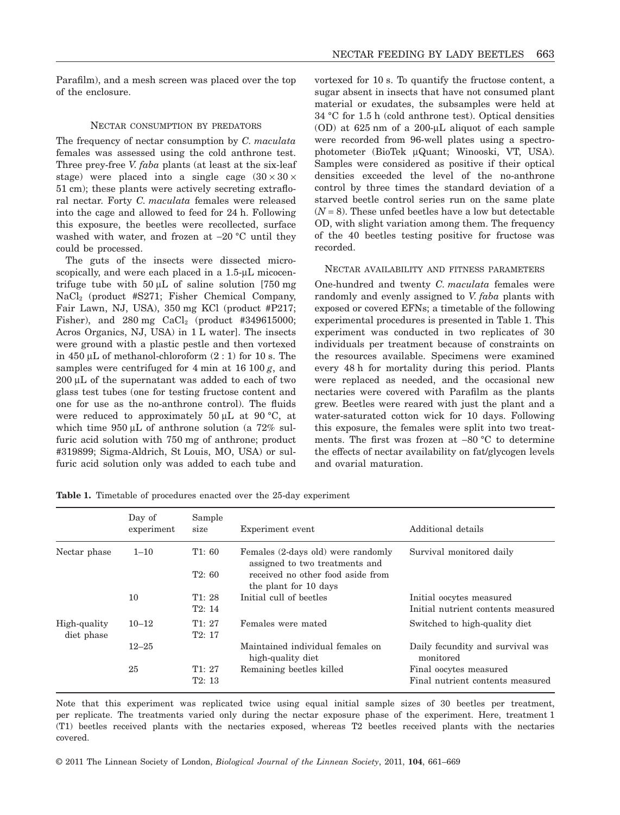Parafilm), and a mesh screen was placed over the top of the enclosure.

## NECTAR CONSUMPTION BY PREDATORS

The frequency of nectar consumption by *C. maculata* females was assessed using the cold anthrone test. Three prey-free *V. faba* plants (at least at the six-leaf stage) were placed into a single cage  $(30 \times 30 \times$ 51 cm); these plants were actively secreting extrafloral nectar. Forty *C. maculata* females were released into the cage and allowed to feed for 24 h. Following this exposure, the beetles were recollected, surface washed with water, and frozen at -20 °C until they could be processed.

The guts of the insects were dissected microscopically, and were each placed in a 1.5-µL micocentrifuge tube with  $50 \mu L$  of saline solution [750 mg NaCl2 (product #S271; Fisher Chemical Company, Fair Lawn, NJ, USA), 350 mg KCl (product #P217; Fisher), and  $280 \text{ mg }$  CaCl<sub>2</sub> (product #349615000; Acros Organics, NJ, USA) in 1 L water]. The insects were ground with a plastic pestle and then vortexed in 450  $\mu$ L of methanol-chloroform  $(2:1)$  for 10 s. The samples were centrifuged for 4 min at 16 100 *g*, and  $200 \mu L$  of the supernatant was added to each of two glass test tubes (one for testing fructose content and one for use as the no-anthrone control). The fluids were reduced to approximately 50  $\mu$ L at 90 °C, at which time  $950 \mu L$  of anthrone solution (a  $72\%$  sulfuric acid solution with 750 mg of anthrone; product #319899; Sigma-Aldrich, St Louis, MO, USA) or sulfuric acid solution only was added to each tube and vortexed for 10 s. To quantify the fructose content, a sugar absent in insects that have not consumed plant material or exudates, the subsamples were held at 34 °C for 1.5 h (cold anthrone test). Optical densities  $(OD)$  at  $625 \text{ nm}$  of a  $200 \text{-} \mu$ L aliquot of each sample were recorded from 96-well plates using a spectrophotometer (BioTek mQuant; Winooski, VT, USA). Samples were considered as positive if their optical densities exceeded the level of the no-anthrone control by three times the standard deviation of a starved beetle control series run on the same plate  $(N = 8)$ . These unfed beetles have a low but detectable OD, with slight variation among them. The frequency of the 40 beetles testing positive for fructose was recorded.

#### NECTAR AVAILABILITY AND FITNESS PARAMETERS

One-hundred and twenty *C. maculata* females were randomly and evenly assigned to *V. faba* plants with exposed or covered EFNs; a timetable of the following experimental procedures is presented in Table 1. This experiment was conducted in two replicates of 30 individuals per treatment because of constraints on the resources available. Specimens were examined every 48 h for mortality during this period. Plants were replaced as needed, and the occasional new nectaries were covered with Parafilm as the plants grew. Beetles were reared with just the plant and a water-saturated cotton wick for 10 days. Following this exposure, the females were split into two treatments. The first was frozen at -80 °C to determine the effects of nectar availability on fat/glycogen levels and ovarial maturation.

|                            | Day of<br>experiment | Sample<br>size | Experiment event                                                     | Additional details                                         |
|----------------------------|----------------------|----------------|----------------------------------------------------------------------|------------------------------------------------------------|
| Nectar phase               | $1 - 10$             | T1:60          | Females (2-days old) were randomly<br>assigned to two treatments and | Survival monitored daily                                   |
|                            |                      | T2:60          | received no other food aside from<br>the plant for 10 days           |                                                            |
|                            | 10                   | T1:28          | Initial cull of beetles                                              | Initial oocytes measured                                   |
|                            |                      | T2:14          |                                                                      | Initial nutrient contents measured                         |
| High-quality<br>diet phase | $10 - 12$            | T1:27<br>T2:17 | Females were mated                                                   | Switched to high-quality diet                              |
|                            | $12 - 25$            |                | Maintained individual females on<br>high-quality diet                | Daily fecundity and survival was<br>monitored              |
|                            | 25                   | T1:27<br>T2:13 | Remaining beetles killed                                             | Final oocytes measured<br>Final nutrient contents measured |
|                            |                      |                |                                                                      |                                                            |

**Table 1.** Timetable of procedures enacted over the 25-day experiment

Note that this experiment was replicated twice using equal initial sample sizes of 30 beetles per treatment, per replicate. The treatments varied only during the nectar exposure phase of the experiment. Here, treatment 1 (T1) beetles received plants with the nectaries exposed, whereas T2 beetles received plants with the nectaries covered.

© 2011 The Linnean Society of London, *Biological Journal of the Linnean Society*, 2011, **104**, 661–669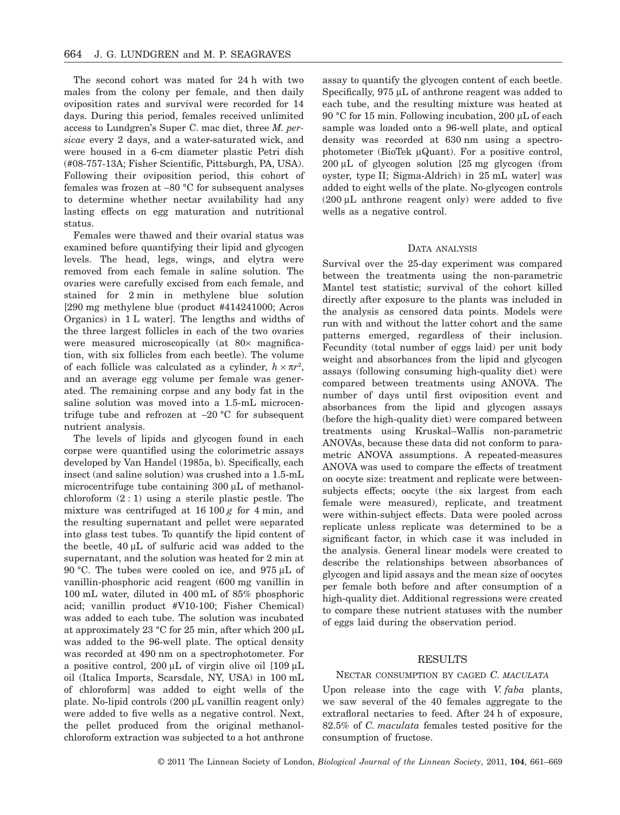The second cohort was mated for 24 h with two males from the colony per female, and then daily oviposition rates and survival were recorded for 14 days. During this period, females received unlimited access to Lundgren's Super C. mac diet, three *M. persicae* every 2 days, and a water-saturated wick, and were housed in a 6-cm diameter plastic Petri dish (#08-757-13A; Fisher Scientific, Pittsburgh, PA, USA). Following their oviposition period, this cohort of females was frozen at -80 °C for subsequent analyses to determine whether nectar availability had any lasting effects on egg maturation and nutritional status.

Females were thawed and their ovarial status was examined before quantifying their lipid and glycogen levels. The head, legs, wings, and elytra were removed from each female in saline solution. The ovaries were carefully excised from each female, and stained for 2 min in methylene blue solution [290 mg methylene blue (product #414241000; Acros Organics) in 1 L water]. The lengths and widths of the three largest follicles in each of the two ovaries were measured microscopically (at  $80\times$  magnification, with six follicles from each beetle). The volume of each follicle was calculated as a cylinder,  $h \times \pi r^2$ , and an average egg volume per female was generated. The remaining corpse and any body fat in the saline solution was moved into a 1.5-mL microcentrifuge tube and refrozen at  $-20$  °C for subsequent nutrient analysis.

The levels of lipids and glycogen found in each corpse were quantified using the colorimetric assays developed by Van Handel (1985a, b). Specifically, each insect (and saline solution) was crushed into a 1.5-mL microcentrifuge tube containing  $300 \mu L$  of methanolchloroform  $(2:1)$  using a sterile plastic pestle. The mixture was centrifuged at  $16 100 g$  for  $4 min$ , and the resulting supernatant and pellet were separated into glass test tubes. To quantify the lipid content of the beetle,  $40 \mu L$  of sulfuric acid was added to the supernatant, and the solution was heated for 2 min at 90 °C. The tubes were cooled on ice, and 975  $\mu$ L of vanillin-phosphoric acid reagent (600 mg vanillin in 100 mL water, diluted in 400 mL of 85% phosphoric acid; vanillin product #V10-100; Fisher Chemical) was added to each tube. The solution was incubated at approximately 23  $\degree$ C for 25 min, after which 200 µL was added to the 96-well plate. The optical density was recorded at 490 nm on a spectrophotometer. For a positive control,  $200 \mu L$  of virgin olive oil  $[109 \mu L]$ oil (Italica Imports, Scarsdale, NY, USA) in 100 mL of chloroform] was added to eight wells of the plate. No-lipid controls  $(200 \mu L \text{ vanillin reagent only})$ were added to five wells as a negative control. Next, the pellet produced from the original methanolchloroform extraction was subjected to a hot anthrone

assay to quantify the glycogen content of each beetle. Specifically, 975 uL of anthrone reagent was added to each tube, and the resulting mixture was heated at 90 °C for 15 min. Following incubation, 200  $\mu$ L of each sample was loaded onto a 96-well plate, and optical density was recorded at 630 nm using a spectrophotometer (BioTek µQuant). For a positive control,  $200 \mu L$  of glycogen solution  $[25 \text{ mg}$  glycogen (from oyster, type II; Sigma-Aldrich) in 25 mL water] was added to eight wells of the plate. No-glycogen controls  $(200 \mu L$  anthrone reagent only) were added to five wells as a negative control.

#### DATA ANALYSIS

Survival over the 25-day experiment was compared between the treatments using the non-parametric Mantel test statistic; survival of the cohort killed directly after exposure to the plants was included in the analysis as censored data points. Models were run with and without the latter cohort and the same patterns emerged, regardless of their inclusion. Fecundity (total number of eggs laid) per unit body weight and absorbances from the lipid and glycogen assays (following consuming high-quality diet) were compared between treatments using ANOVA. The number of days until first oviposition event and absorbances from the lipid and glycogen assays (before the high-quality diet) were compared between treatments using Kruskal–Wallis non-parametric ANOVAs, because these data did not conform to parametric ANOVA assumptions. A repeated-measures ANOVA was used to compare the effects of treatment on oocyte size: treatment and replicate were betweensubjects effects; oocyte (the six largest from each female were measured), replicate, and treatment were within-subject effects. Data were pooled across replicate unless replicate was determined to be a significant factor, in which case it was included in the analysis. General linear models were created to describe the relationships between absorbances of glycogen and lipid assays and the mean size of oocytes per female both before and after consumption of a high-quality diet. Additional regressions were created to compare these nutrient statuses with the number of eggs laid during the observation period.

## **RESULTS**

#### NECTAR CONSUMPTION BY CAGED *C. MACULATA*

Upon release into the cage with *V. faba* plants, we saw several of the 40 females aggregate to the extrafloral nectaries to feed. After 24 h of exposure, 82.5% of *C. maculata* females tested positive for the consumption of fructose.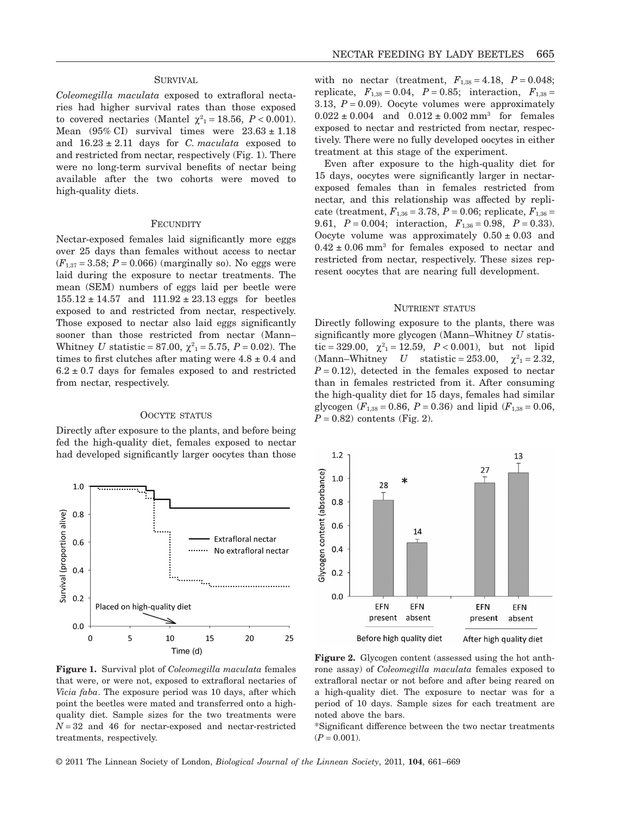## **SURVIVAL**

*Coleomegilla maculata* exposed to extrafloral nectaries had higher survival rates than those exposed to covered nectaries (Mantel  $\chi^2_{1} = 18.56, P < 0.001$ ). Mean  $(95\% \text{ CI})$  survival times were  $23.63 \pm 1.18$ and  $16.23 \pm 2.11$  days for *C. maculata* exposed to and restricted from nectar, respectively (Fig. 1). There were no long-term survival benefits of nectar being available after the two cohorts were moved to high-quality diets.

#### **FECUNDITY**

Nectar-exposed females laid significantly more eggs over 25 days than females without access to nectar  $(F_{1,37} = 3.58; P = 0.066)$  (marginally so). No eggs were laid during the exposure to nectar treatments. The mean (SEM) numbers of eggs laid per beetle were  $155.12 \pm 14.57$  and  $111.92 \pm 23.13$  eggs for beetles exposed to and restricted from nectar, respectively. Those exposed to nectar also laid eggs significantly sooner than those restricted from nectar (Mann– Whitney *U* statistic = 87.00,  $\chi^2_{1}$  = 5.75, *P* = 0.02). The times to first clutches after mating were  $4.8 \pm 0.4$  and  $6.2 \pm 0.7$  days for females exposed to and restricted from nectar, respectively.

#### OOCYTE STATUS

Directly after exposure to the plants, and before being fed the high-quality diet, females exposed to nectar had developed significantly larger oocytes than those



with no nectar (treatment,  $F_{1,38} = 4.18$ ,  $P = 0.048$ ; replicate,  $F_{1,38} = 0.04$ ,  $P = 0.85$ ; interaction,  $F_{1,38} =$ 3.13,  $P = 0.09$ ). Oocyte volumes were approximately  $0.022 \pm 0.004$  and  $0.012 \pm 0.002$  mm<sup>3</sup> for females exposed to nectar and restricted from nectar, respectively. There were no fully developed oocytes in either treatment at this stage of the experiment.

Even after exposure to the high-quality diet for 15 days, oocytes were significantly larger in nectarexposed females than in females restricted from nectar, and this relationship was affected by replicate (treatment,  $F_{1,36} = 3.78$ ,  $P = 0.06$ ; replicate,  $F_{1,36} =$ 9.61, *P* = 0.004; interaction, *F*1,36 = 0.98, *P* = 0.33). Oocyte volume was approximately  $0.50 \pm 0.03$  and  $0.42 \pm 0.06$  mm<sup>3</sup> for females exposed to nectar and restricted from nectar, respectively. These sizes represent oocytes that are nearing full development.

#### NUTRIENT STATUS

Directly following exposure to the plants, there was significantly more glycogen (Mann–Whitney *U* statistic = 329.00,  $\chi^2_1 = 12.59$ ,  $P < 0.001$ ), but not lipid (Mann–Whitney *U* statistic = 253.00,  $\chi^2 = 2.32$ ,  $P = 0.12$ , detected in the females exposed to nectar than in females restricted from it. After consuming the high-quality diet for 15 days, females had similar glycogen ( $F_{1,38} = 0.86$ ,  $P = 0.36$ ) and lipid ( $F_{1,38} = 0.06$ ,  $P = 0.82$ ) contents (Fig. 2).



**Figure 1.** Survival plot of *Coleomegilla maculata* females that were, or were not, exposed to extrafloral nectaries of *Vicia faba*. The exposure period was 10 days, after which point the beetles were mated and transferred onto a highquality diet. Sample sizes for the two treatments were  $N = 32$  and 46 for nectar-exposed and nectar-restricted treatments, respectively.

**Figure 2.** Glycogen content (assessed using the hot anthrone assay) of *Coleomegilla maculata* females exposed to extrafloral nectar or not before and after being reared on a high-quality diet. The exposure to nectar was for a period of 10 days. Sample sizes for each treatment are noted above the bars.

\*Significant difference between the two nectar treatments  $(P = 0.001)$ .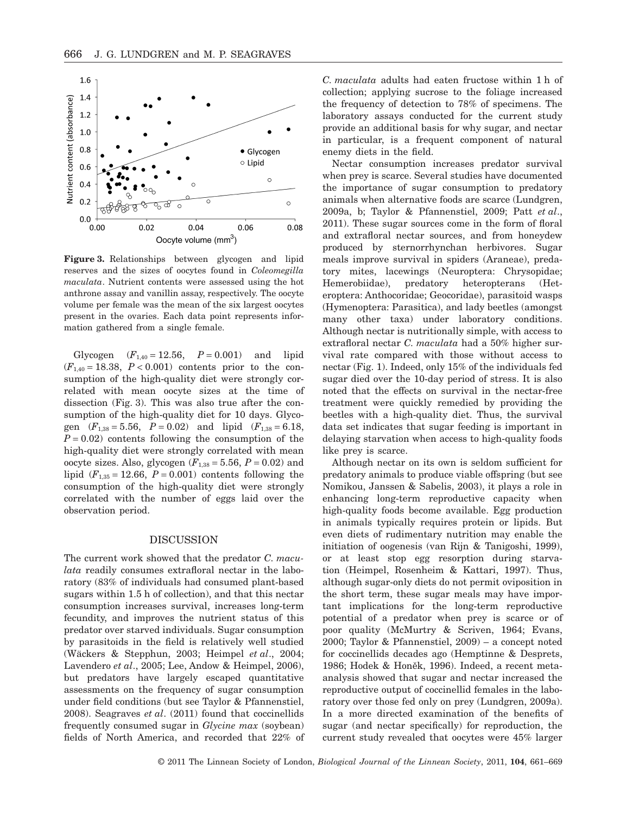

**Figure 3.** Relationships between glycogen and lipid reserves and the sizes of oocytes found in *Coleomegilla maculata*. Nutrient contents were assessed using the hot anthrone assay and vanillin assay, respectively. The oocyte volume per female was the mean of the six largest oocytes present in the ovaries. Each data point represents information gathered from a single female.

Glycogen  $(F_{1,40} = 12.56, P = 0.001)$  and lipid  $(F_{1,40} = 18.38, P < 0.001)$  contents prior to the consumption of the high-quality diet were strongly correlated with mean oocyte sizes at the time of dissection (Fig. 3). This was also true after the consumption of the high-quality diet for 10 days. Glycogen  $(F_{1,38} = 5.56, P = 0.02)$  and lipid  $(F_{1,38} = 6.18,$  $P = 0.02$ ) contents following the consumption of the high-quality diet were strongly correlated with mean oocyte sizes. Also, glycogen  $(F_{1,38} = 5.56, P = 0.02)$  and lipid  $(F_{1,35} = 12.66, P = 0.001)$  contents following the consumption of the high-quality diet were strongly correlated with the number of eggs laid over the observation period.

### DISCUSSION

The current work showed that the predator *C. maculata* readily consumes extrafloral nectar in the laboratory (83% of individuals had consumed plant-based sugars within 1.5 h of collection), and that this nectar consumption increases survival, increases long-term fecundity, and improves the nutrient status of this predator over starved individuals. Sugar consumption by parasitoids in the field is relatively well studied (Wäckers & Stepphun, 2003; Heimpel *et al*., 2004; Lavendero *et al*., 2005; Lee, Andow & Heimpel, 2006), but predators have largely escaped quantitative assessments on the frequency of sugar consumption under field conditions (but see Taylor & Pfannenstiel, 2008). Seagraves *et al*. (2011) found that coccinellids frequently consumed sugar in *Glycine max* (soybean) fields of North America, and recorded that 22% of *C. maculata* adults had eaten fructose within 1 h of collection; applying sucrose to the foliage increased the frequency of detection to 78% of specimens. The laboratory assays conducted for the current study provide an additional basis for why sugar, and nectar in particular, is a frequent component of natural enemy diets in the field.

Nectar consumption increases predator survival when prey is scarce. Several studies have documented the importance of sugar consumption to predatory animals when alternative foods are scarce (Lundgren, 2009a, b; Taylor & Pfannenstiel, 2009; Patt *et al*., 2011). These sugar sources come in the form of floral and extrafloral nectar sources, and from honeydew produced by sternorrhynchan herbivores. Sugar meals improve survival in spiders (Araneae), predatory mites, lacewings (Neuroptera: Chrysopidae; Hemerobiidae), predatory heteropterans (Heteroptera: Anthocoridae; Geocoridae), parasitoid wasps (Hymenoptera: Parasitica), and lady beetles (amongst many other taxa) under laboratory conditions. Although nectar is nutritionally simple, with access to extrafloral nectar *C. maculata* had a 50% higher survival rate compared with those without access to nectar (Fig. 1). Indeed, only 15% of the individuals fed sugar died over the 10-day period of stress. It is also noted that the effects on survival in the nectar-free treatment were quickly remedied by providing the beetles with a high-quality diet. Thus, the survival data set indicates that sugar feeding is important in delaying starvation when access to high-quality foods like prey is scarce.

Although nectar on its own is seldom sufficient for predatory animals to produce viable offspring (but see Nomikou, Janssen & Sabelis, 2003), it plays a role in enhancing long-term reproductive capacity when high-quality foods become available. Egg production in animals typically requires protein or lipids. But even diets of rudimentary nutrition may enable the initiation of oogenesis (van Rijn & Tanigoshi, 1999), or at least stop egg resorption during starvation (Heimpel, Rosenheim & Kattari, 1997). Thus, although sugar-only diets do not permit oviposition in the short term, these sugar meals may have important implications for the long-term reproductive potential of a predator when prey is scarce or of poor quality (McMurtry & Scriven, 1964; Evans, 2000; Taylor & Pfannenstiel, 2009) – a concept noted for coccinellids decades ago (Hemptinne & Desprets, 1986; Hodek & Honěk, 1996). Indeed, a recent metaanalysis showed that sugar and nectar increased the reproductive output of coccinellid females in the laboratory over those fed only on prey (Lundgren, 2009a). In a more directed examination of the benefits of sugar (and nectar specifically) for reproduction, the current study revealed that oocytes were 45% larger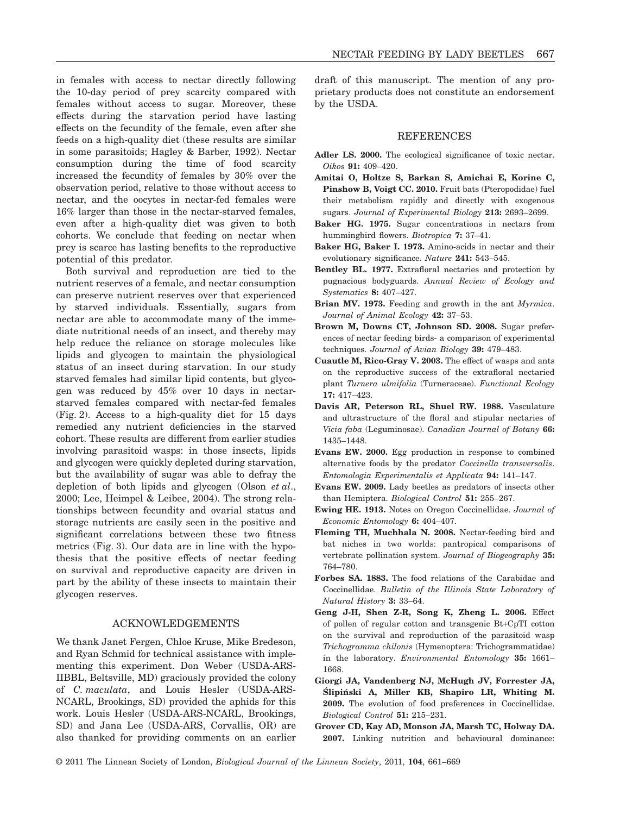in females with access to nectar directly following the 10-day period of prey scarcity compared with females without access to sugar. Moreover, these effects during the starvation period have lasting effects on the fecundity of the female, even after she feeds on a high-quality diet (these results are similar in some parasitoids; Hagley & Barber, 1992). Nectar consumption during the time of food scarcity increased the fecundity of females by 30% over the observation period, relative to those without access to nectar, and the oocytes in nectar-fed females were 16% larger than those in the nectar-starved females, even after a high-quality diet was given to both cohorts. We conclude that feeding on nectar when prey is scarce has lasting benefits to the reproductive potential of this predator.

Both survival and reproduction are tied to the nutrient reserves of a female, and nectar consumption can preserve nutrient reserves over that experienced by starved individuals. Essentially, sugars from nectar are able to accommodate many of the immediate nutritional needs of an insect, and thereby may help reduce the reliance on storage molecules like lipids and glycogen to maintain the physiological status of an insect during starvation. In our study starved females had similar lipid contents, but glycogen was reduced by 45% over 10 days in nectarstarved females compared with nectar-fed females (Fig. 2). Access to a high-quality diet for 15 days remedied any nutrient deficiencies in the starved cohort. These results are different from earlier studies involving parasitoid wasps: in those insects, lipids and glycogen were quickly depleted during starvation, but the availability of sugar was able to defray the depletion of both lipids and glycogen (Olson *et al*., 2000; Lee, Heimpel & Leibee, 2004). The strong relationships between fecundity and ovarial status and storage nutrients are easily seen in the positive and significant correlations between these two fitness metrics (Fig. 3). Our data are in line with the hypothesis that the positive effects of nectar feeding on survival and reproductive capacity are driven in part by the ability of these insects to maintain their glycogen reserves.

## ACKNOWLEDGEMENTS

We thank Janet Fergen, Chloe Kruse, Mike Bredeson, and Ryan Schmid for technical assistance with implementing this experiment. Don Weber (USDA-ARS-IIBBL, Beltsville, MD) graciously provided the colony of *C. maculata*, and Louis Hesler (USDA-ARS-NCARL, Brookings, SD) provided the aphids for this work. Louis Hesler (USDA-ARS-NCARL, Brookings, SD) and Jana Lee (USDA-ARS, Corvallis, OR) are also thanked for providing comments on an earlier draft of this manuscript. The mention of any proprietary products does not constitute an endorsement by the USDA.

# REFERENCES

- Adler LS. 2000. The ecological significance of toxic nectar. *Oikos* **91:** 409–420.
- **Amitai O, Holtze S, Barkan S, Amichai E, Korine C, Pinshow B, Voigt CC. 2010.** Fruit bats (Pteropodidae) fuel their metabolism rapidly and directly with exogenous sugars. *Journal of Experimental Biology* **213:** 2693–2699.
- **Baker HG. 1975.** Sugar concentrations in nectars from hummingbird flowers. *Biotropica* **7:** 37–41.
- **Baker HG, Baker I. 1973.** Amino-acids in nectar and their evolutionary significance. *Nature* **241:** 543–545.
- **Bentley BL. 1977.** Extrafloral nectaries and protection by pugnacious bodyguards. *Annual Review of Ecology and Systematics* **8:** 407–427.
- **Brian MV. 1973.** Feeding and growth in the ant *Myrmica*. *Journal of Animal Ecology* **42:** 37–53.
- **Brown M, Downs CT, Johnson SD. 2008.** Sugar preferences of nectar feeding birds- a comparison of experimental techniques. *Journal of Avian Biology* **39:** 479–483.
- **Cuautle M, Rico-Gray V. 2003.** The effect of wasps and ants on the reproductive success of the extrafloral nectaried plant *Turnera ulmifolia* (Turneraceae). *Functional Ecology* **17:** 417–423.
- **Davis AR, Peterson RL, Shuel RW. 1988.** Vasculature and ultrastructure of the floral and stipular nectaries of *Vicia faba* (Leguminosae). *Canadian Journal of Botany* **66:** 1435–1448.
- **Evans EW. 2000.** Egg production in response to combined alternative foods by the predator *Coccinella transversalis*. *Entomologia Experimentalis et Applicata* **94:** 141–147.
- **Evans EW. 2009.** Lady beetles as predators of insects other than Hemiptera. *Biological Control* **51:** 255–267.
- **Ewing HE. 1913.** Notes on Oregon Coccinellidae. *Journal of Economic Entomology* **6:** 404–407.
- **Fleming TH, Muchhala N. 2008.** Nectar-feeding bird and bat niches in two worlds: pantropical comparisons of vertebrate pollination system. *Journal of Biogeography* **35:** 764–780.
- **Forbes SA. 1883.** The food relations of the Carabidae and Coccinellidae. *Bulletin of the Illinois State Laboratory of Natural History* **3:** 33–64.
- **Geng J-H, Shen Z-R, Song K, Zheng L. 2006.** Effect of pollen of regular cotton and transgenic Bt+CpTI cotton on the survival and reproduction of the parasitoid wasp *Trichogramma chilonis* (Hymenoptera: Trichogrammatidae) in the laboratory. *Environmental Entomology* **35:** 1661– 1668.
- **Giorgi JA, Vandenberg NJ, McHugh JV, Forrester JA,** Slipinski A, Miller KB, Shapiro LR, Whiting M. **2009.** The evolution of food preferences in Coccinellidae. *Biological Control* **51:** 215–231.
- **Grover CD, Kay AD, Monson JA, Marsh TC, Holway DA. 2007.** Linking nutrition and behavioural dominance: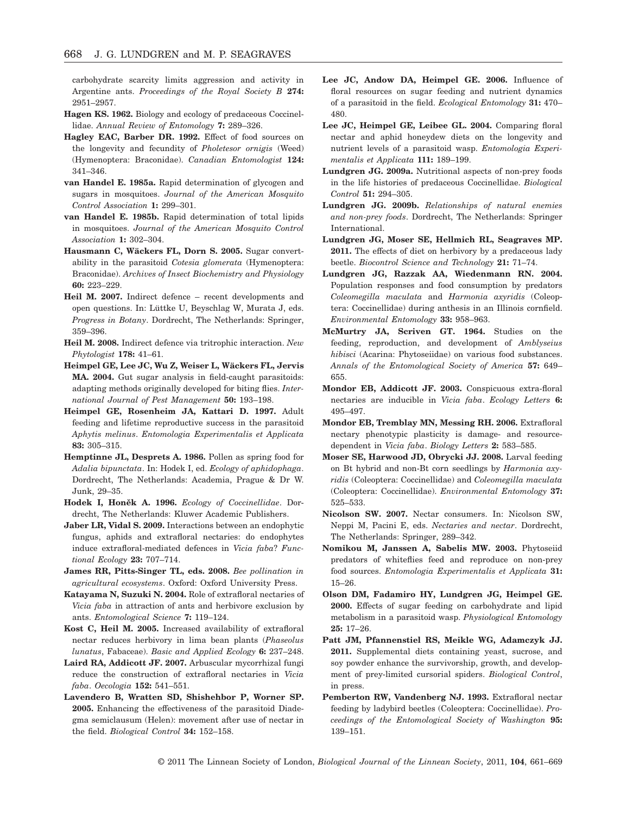carbohydrate scarcity limits aggression and activity in Argentine ants. *Proceedings of the Royal Society B* **274:** 2951–2957.

- **Hagen KS. 1962.** Biology and ecology of predaceous Coccinellidae. *Annual Review of Entomology* **7:** 289–326.
- **Hagley EAC, Barber DR. 1992.** Effect of food sources on the longevity and fecundity of *Pholetesor ornigis* (Weed) (Hymenoptera: Braconidae). *Canadian Entomologist* **124:** 341–346.
- **van Handel E. 1985a.** Rapid determination of glycogen and sugars in mosquitoes. *Journal of the American Mosquito Control Association* **1:** 299–301.
- **van Handel E. 1985b.** Rapid determination of total lipids in mosquitoes. *Journal of the American Mosquito Control Association* **1:** 302–304.
- **Hausmann C, Wäckers FL, Dorn S. 2005.** Sugar convertability in the parasitoid *Cotesia glomerata* (Hymenoptera: Braconidae). *Archives of Insect Biochemistry and Physiology* **60:** 223–229.
- **Heil M. 2007.** Indirect defence recent developments and open questions. In: Lüttke U, Beyschlag W, Murata J, eds. *Progress in Botany*. Dordrecht, The Netherlands: Springer, 359–396.
- **Heil M. 2008.** Indirect defence via tritrophic interaction. *New Phytologist* **178:** 41–61.
- **Heimpel GE, Lee JC, Wu Z, Weiser L, Wäckers FL, Jervis MA. 2004.** Gut sugar analysis in field-caught parasitoids: adapting methods originally developed for biting flies. *International Journal of Pest Management* **50:** 193–198.
- **Heimpel GE, Rosenheim JA, Kattari D. 1997.** Adult feeding and lifetime reproductive success in the parasitoid *Aphytis melinus*. *Entomologia Experimentalis et Applicata* **83:** 305–315.
- **Hemptinne JL, Desprets A. 1986.** Pollen as spring food for *Adalia bipunctata*. In: Hodek I, ed. *Ecology of aphidophaga*. Dordrecht, The Netherlands: Academia, Prague & Dr W. Junk, 29–35.
- Hodek I, Honěk A. 1996. *Ecology of Coccinellidae*. Dordrecht, The Netherlands: Kluwer Academic Publishers.
- **Jaber LR, Vidal S. 2009.** Interactions between an endophytic fungus, aphids and extrafloral nectaries: do endophytes induce extrafloral-mediated defences in *Vicia faba*? *Functional Ecology* **23:** 707–714.
- **James RR, Pitts-Singer TL, eds. 2008.** *Bee pollination in agricultural ecosystems*. Oxford: Oxford University Press.
- **Katayama N, Suzuki N. 2004.** Role of extrafloral nectaries of *Vicia faba* in attraction of ants and herbivore exclusion by ants. *Entomological Science* **7:** 119–124.
- **Kost C, Heil M. 2005.** Increased availability of extrafloral nectar reduces herbivory in lima bean plants (*Phaseolus lunatus*, Fabaceae). *Basic and Applied Ecology* **6:** 237–248.
- **Laird RA, Addicott JF. 2007.** Arbuscular mycorrhizal fungi reduce the construction of extrafloral nectaries in *Vicia faba*. *Oecologia* **152:** 541–551.
- **Lavendero B, Wratten SD, Shishehbor P, Worner SP. 2005.** Enhancing the effectiveness of the parasitoid Diadegma semiclausum (Helen): movement after use of nectar in the field. *Biological Control* **34:** 152–158.
- **Lee JC, Andow DA, Heimpel GE. 2006.** Influence of floral resources on sugar feeding and nutrient dynamics of a parasitoid in the field. *Ecological Entomology* **31:** 470– 480.
- Lee JC, Heimpel GE, Leibee GL, 2004. Comparing floral nectar and aphid honeydew diets on the longevity and nutrient levels of a parasitoid wasp. *Entomologia Experimentalis et Applicata* **111:** 189–199.
- **Lundgren JG. 2009a.** Nutritional aspects of non-prey foods in the life histories of predaceous Coccinellidae. *Biological Control* **51:** 294–305.
- **Lundgren JG. 2009b.** *Relationships of natural enemies and non-prey foods*. Dordrecht, The Netherlands: Springer International.
- **Lundgren JG, Moser SE, Hellmich RL, Seagraves MP. 2011.** The effects of diet on herbivory by a predaceous lady beetle. *Biocontrol Science and Technology* **21:** 71–74.
- **Lundgren JG, Razzak AA, Wiedenmann RN. 2004.** Population responses and food consumption by predators *Coleomegilla maculata* and *Harmonia axyridis* (Coleoptera: Coccinellidae) during anthesis in an Illinois cornfield. *Environmental Entomology* **33:** 958–963.
- **McMurtry JA, Scriven GT. 1964.** Studies on the feeding, reproduction, and development of *Amblyseius hibisci* (Acarina: Phytoseiidae) on various food substances. *Annals of the Entomological Society of America* **57:** 649– 655.
- **Mondor EB, Addicott JF. 2003.** Conspicuous extra-floral nectaries are inducible in *Vicia faba*. *Ecology Letters* **6:** 495–497.
- **Mondor EB, Tremblay MN, Messing RH. 2006.** Extrafloral nectary phenotypic plasticity is damage- and resourcedependent in *Vicia faba*. *Biology Letters* **2:** 583–585.
- **Moser SE, Harwood JD, Obrycki JJ. 2008.** Larval feeding on Bt hybrid and non-Bt corn seedlings by *Harmonia axyridis* (Coleoptera: Coccinellidae) and *Coleomegilla maculata* (Coleoptera: Coccinellidae). *Environmental Entomology* **37:** 525–533.
- **Nicolson SW. 2007.** Nectar consumers. In: Nicolson SW, Neppi M, Pacini E, eds. *Nectaries and nectar*. Dordrecht, The Netherlands: Springer, 289–342.
- **Nomikou M, Janssen A, Sabelis MW. 2003.** Phytoseiid predators of whiteflies feed and reproduce on non-prey food sources. *Entomologia Experimentalis et Applicata* **31:** 15–26.
- **Olson DM, Fadamiro HY, Lundgren JG, Heimpel GE. 2000.** Effects of sugar feeding on carbohydrate and lipid metabolism in a parasitoid wasp. *Physiological Entomology* **25:** 17–26.
- **Patt JM, Pfannenstiel RS, Meikle WG, Adamczyk JJ. 2011.** Supplemental diets containing yeast, sucrose, and soy powder enhance the survivorship, growth, and development of prey-limited cursorial spiders. *Biological Control*, in press.
- **Pemberton RW, Vandenberg NJ. 1993.** Extrafloral nectar feeding by ladybird beetles (Coleoptera: Coccinellidae). *Proceedings of the Entomological Society of Washington* **95:** 139–151.